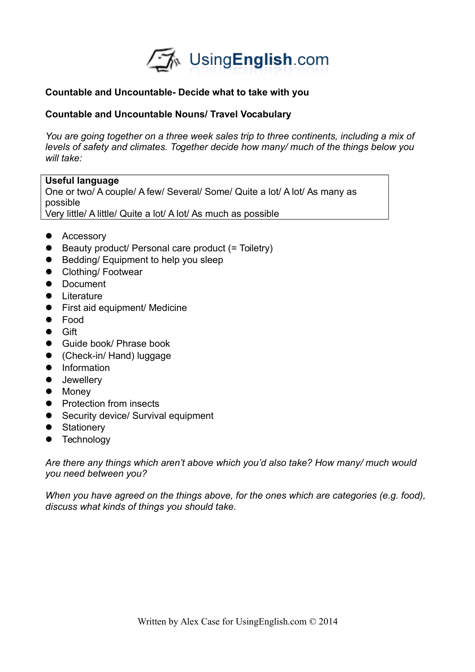

## **Countable and Uncountable- Decide what to take with you**

## **Countable and Uncountable Nouns/ Travel Vocabulary**

*You are going together on a three week sales trip to three continents, including a mix of levels of safety and climates. Together decide how many/ much of the things below you will take:*

## **Useful language**

One or two/ A couple/ A few/ Several/ Some/ Quite a lot/ A lot/ As many as possible Very little/ A little/ Quite a lot/ A lot/ As much as possible

- Accessory
- Beauty product/ Personal care product (= Toiletry)
- **Bedding/Equipment to help you sleep**
- **•** Clothing/ Footwear
- Document
- **•** Literature
- **•** First aid equipment/ Medicine
- Food
- **•** Gift
- Guide book/ Phrase book
- (Check-in/ Hand) luggage
- **•** Information
- **•** Jewellery
- Money
- Protection from insects
- Security device/ Survival equipment
- Stationery
- **•** Technology

*Are there any things which aren't above which you'd also take? How many/ much would you need between you?*

*When you have agreed on the things above, for the ones which are categories (e.g. food), discuss what kinds of things you should take.*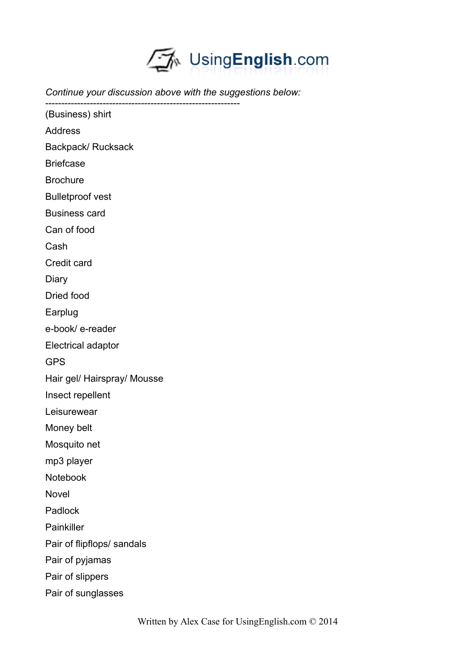

*Continue your discussion above with the suggestions below:* ------------------------------------------------------------- (Business) shirt Address Backpack/ Rucksack

Briefcase

**Brochure** 

Bulletproof vest

Business card

Can of food

Cash

Credit card

Diary

Dried food

Earplug

e-book/ e-reader

Electrical adaptor

GPS

Hair gel/ Hairspray/ Mousse

Insect repellent

Leisurewear

Money belt

Mosquito net

mp3 player

Notebook

Novel

Padlock

Painkiller

Pair of flipflops/ sandals

Pair of pyjamas

Pair of slippers

Pair of sunglasses